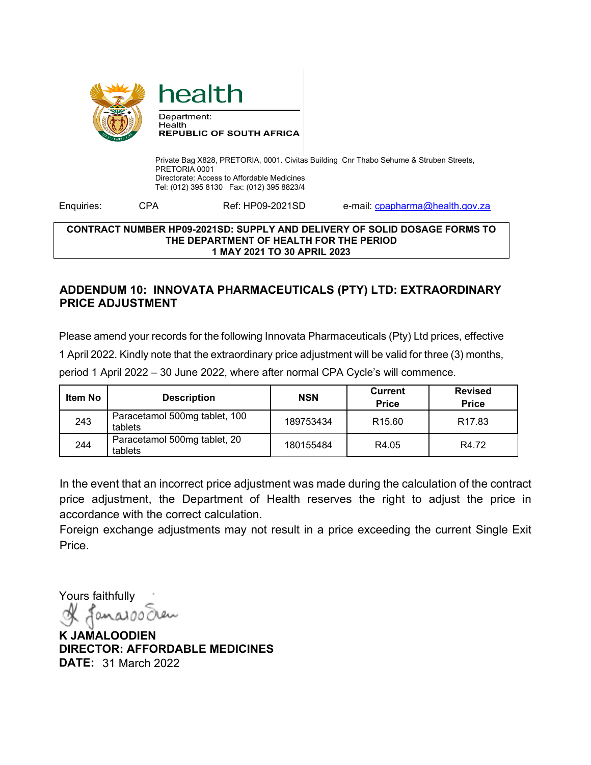

Private Bag X828, PRETORIA, 0001. Civitas Building Cnr Thabo Sehume & Struben Streets, PRETORIA 0001 Directorate: Access to Affordable Medicines Tel: (012) 395 8130 Fax: (012) 395 8823/4

Enquiries: CPA Ref: HP09-2021SD e-mail: compared and chealth.gov.za

## **CONTRACT NUMBER HP09-2021SD: SUPPLY AND DELIVERY OF SOLID DOSAGE FORMS TO THE DEPARTMENT OF HEALTH FOR THE PERIOD 1 MAY 2021 TO 30 APRIL 2023**

## **ADDENDUM 10: INNOVATA PHARMACEUTICALS (PTY) LTD: EXTRAORDINARY PRICE ADJUSTMENT**

Please amend your records for the following Innovata Pharmaceuticals (Pty) Ltd prices, effective 1 April 2022. Kindly note that the extraordinary price adjustment will be valid for three (3) months, period 1 April 2022 – 30 June 2022, where after normal CPA Cycle's will commence.

| Item No | <b>Description</b>                       | <b>NSN</b> | <b>Current</b><br><b>Price</b> | <b>Revised</b><br><b>Price</b> |
|---------|------------------------------------------|------------|--------------------------------|--------------------------------|
| 243     | Paracetamol 500mg tablet, 100<br>tablets | 189753434  | R <sub>15.60</sub>             | R <sub>17.83</sub>             |
| 244     | Paracetamol 500mg tablet, 20<br>tablets  | 180155484  | R4.05                          | R4.72                          |

In the event that an incorrect price adjustment was made during the calculation of the contract price adjustment, the Department of Health reserves the right to adjust the price in accordance with the correct calculation.

Foreign exchange adjustments may not result in a price exceeding the current Single Exit Price.

Yours faithfully  $and00$ 

**K JAMALOODIEN DIRECTOR: AFFORDABLE MEDICINES DATE:** 31 March 2022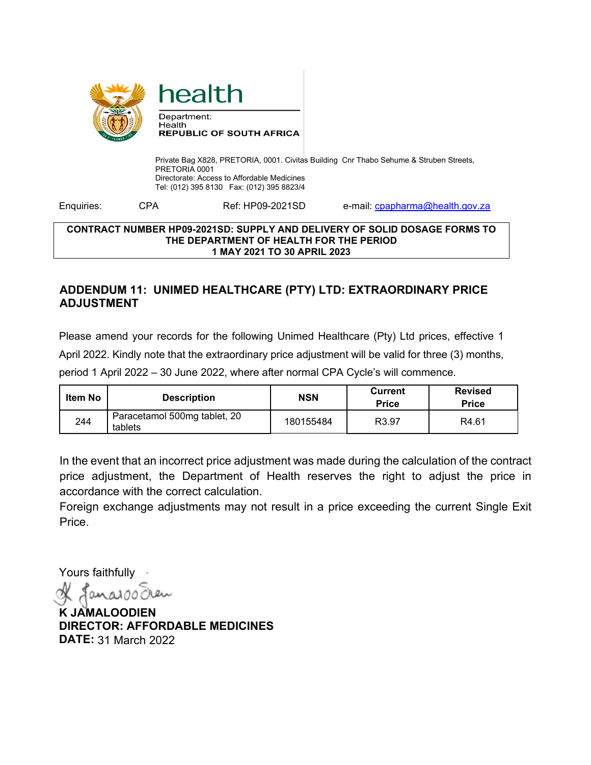

Private Bag X828, PRETORIA, 0001. Civitas Building Cnr Thabo Sehume & Struben Streets, PRETORIA 0001 Directorate: Access to Affordable Medicines Tel: (012) 395 8130 Fax: (012) 395 8823/4

Enquiries: CPA Ref: HP09-2021SD e-mail: compared and chealth.gov.za

## **CONTRACT NUMBER HP09-2021SD: SUPPLY AND DELIVERY OF SOLID DOSAGE FORMS TO THE DEPARTMENT OF HEALTH FOR THE PERIOD 1 MAY 2021 TO 30 APRIL 2023**

## **ADDENDUM 11: UNIMED HEALTHCARE (PTY) LTD: EXTRAORDINARY PRICE ADJUSTMENT**

Please amend your records for the following Unimed Healthcare (Pty) Ltd prices, effective 1 April 2022. Kindly note that the extraordinary price adjustment will be valid for three (3) months, period 1 April 2022 – 30 June 2022, where after normal CPA Cycle's will commence.

| Item No | <b>Description</b>                      | <b>NSN</b> | Current<br><b>Price</b> | <b>Revised</b><br><b>Price</b> |
|---------|-----------------------------------------|------------|-------------------------|--------------------------------|
| 244     | Paracetamol 500mg tablet, 20<br>tablets | 180155484  | R <sub>3.97</sub>       | R4.61                          |

In the event that an incorrect price adjustment was made during the calculation of the contract price adjustment, the Department of Health reserves the right to adjust the price in accordance with the correct calculation.

Foreign exchange adjustments may not result in a price exceeding the current Single Exit Price.

Yours faithfully

**K JAMALOODIEN DIRECTOR: AFFORDABLE MEDICINES DATE:** 31 March 2022